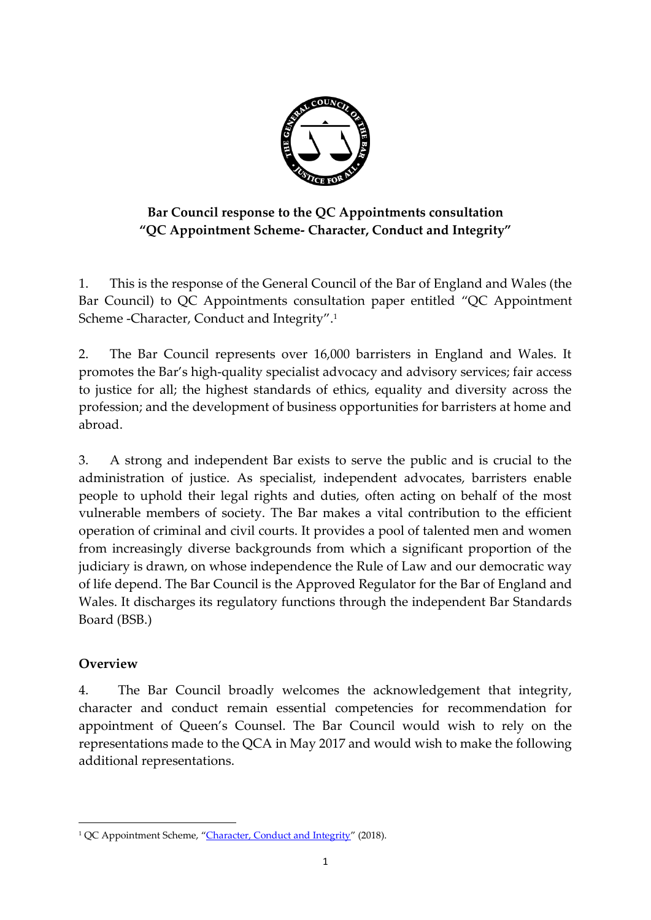

# **Bar Council response to the QC Appointments consultation "QC Appointment Scheme- Character, Conduct and Integrity"**

1. This is the response of the General Council of the Bar of England and Wales (the Bar Council) to QC Appointments consultation paper entitled "QC Appointment Scheme -Character, Conduct and Integrity". 1

2. The Bar Council represents over 16,000 barristers in England and Wales. It promotes the Bar's high-quality specialist advocacy and advisory services; fair access to justice for all; the highest standards of ethics, equality and diversity across the profession; and the development of business opportunities for barristers at home and abroad.

3. A strong and independent Bar exists to serve the public and is crucial to the administration of justice. As specialist, independent advocates, barristers enable people to uphold their legal rights and duties, often acting on behalf of the most vulnerable members of society. The Bar makes a vital contribution to the efficient operation of criminal and civil courts. It provides a pool of talented men and women from increasingly diverse backgrounds from which a significant proportion of the judiciary is drawn, on whose independence the Rule of Law and our democratic way of life depend. The Bar Council is the Approved Regulator for the Bar of England and Wales. It discharges its regulatory functions through the independent Bar Standards Board (BSB.)

# **Overview**

**.** 

4. The Bar Council broadly welcomes the acknowledgement that integrity, character and conduct remain essential competencies for recommendation for appointment of Queen's Counsel. The Bar Council would wish to rely on the representations made to the QCA in May 2017 and would wish to make the following additional representations.

<sup>&</sup>lt;sup>1</sup> QC Appointment Scheme, "[Character, Conduct and Integrity](http://www.qcappointments.org/wp-content/uploads/2018/04/Consultation-on-Character-Conduct-and-Integrity.pdf)" (2018).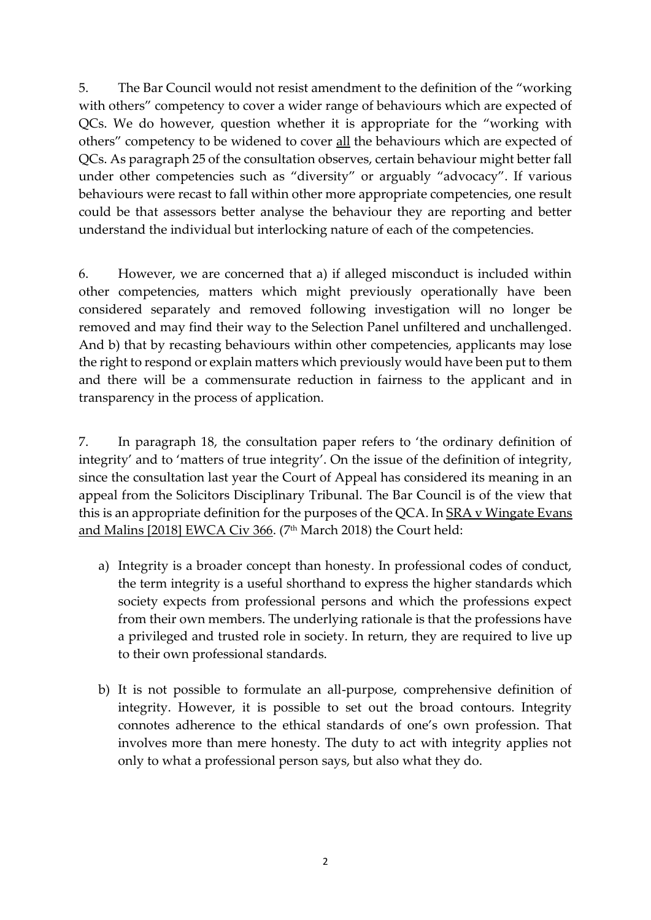5. The Bar Council would not resist amendment to the definition of the "working with others" competency to cover a wider range of behaviours which are expected of QCs. We do however, question whether it is appropriate for the "working with others" competency to be widened to cover all the behaviours which are expected of QCs. As paragraph 25 of the consultation observes, certain behaviour might better fall under other competencies such as "diversity" or arguably "advocacy". If various behaviours were recast to fall within other more appropriate competencies, one result could be that assessors better analyse the behaviour they are reporting and better understand the individual but interlocking nature of each of the competencies.

6. However, we are concerned that a) if alleged misconduct is included within other competencies, matters which might previously operationally have been considered separately and removed following investigation will no longer be removed and may find their way to the Selection Panel unfiltered and unchallenged. And b) that by recasting behaviours within other competencies, applicants may lose the right to respond or explain matters which previously would have been put to them and there will be a commensurate reduction in fairness to the applicant and in transparency in the process of application.

7. In paragraph 18, the consultation paper refers to 'the ordinary definition of integrity' and to 'matters of true integrity'. On the issue of the definition of integrity, since the consultation last year the Court of Appeal has considered its meaning in an appeal from the Solicitors Disciplinary Tribunal. The Bar Council is of the view that this is an appropriate definition for the purposes of the QCA. In SRA v Wingate Evans and Malins [2018] EWCA Civ 366. (7<sup>th</sup> March 2018) the Court held:

- a) Integrity is a broader concept than honesty. In professional codes of conduct, the term integrity is a useful shorthand to express the higher standards which society expects from professional persons and which the professions expect from their own members. The underlying rationale is that the professions have a privileged and trusted role in society. In return, they are required to live up to their own professional standards.
- b) It is not possible to formulate an all-purpose, comprehensive definition of integrity. However, it is possible to set out the broad contours. Integrity connotes adherence to the ethical standards of one's own profession. That involves more than mere honesty. The duty to act with integrity applies not only to what a professional person says, but also what they do.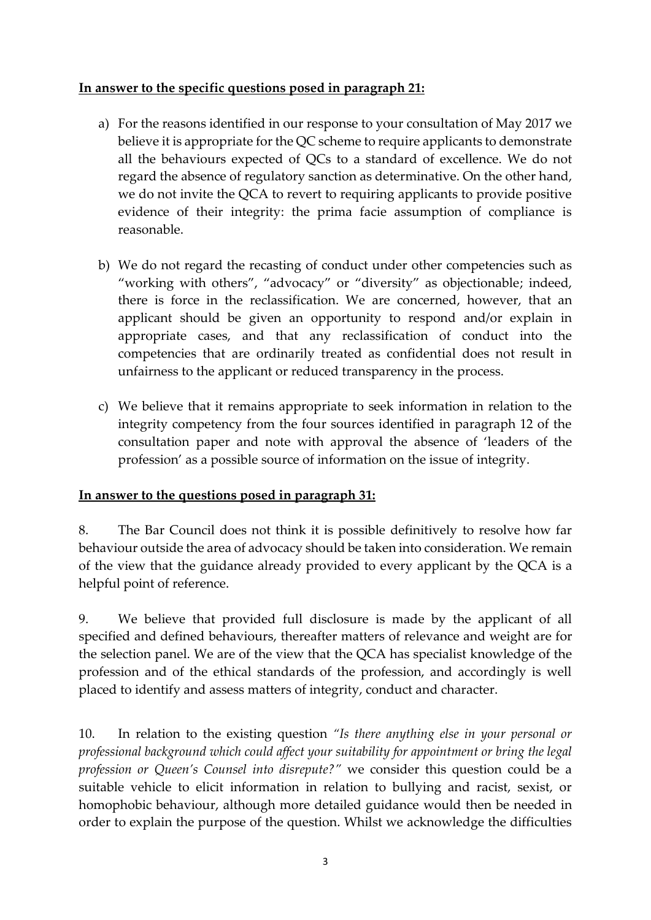## **In answer to the specific questions posed in paragraph 21:**

- a) For the reasons identified in our response to your consultation of May 2017 we believe it is appropriate for the QC scheme to require applicants to demonstrate all the behaviours expected of QCs to a standard of excellence. We do not regard the absence of regulatory sanction as determinative. On the other hand, we do not invite the QCA to revert to requiring applicants to provide positive evidence of their integrity: the prima facie assumption of compliance is reasonable.
- b) We do not regard the recasting of conduct under other competencies such as "working with others", "advocacy" or "diversity" as objectionable; indeed, there is force in the reclassification. We are concerned, however, that an applicant should be given an opportunity to respond and/or explain in appropriate cases, and that any reclassification of conduct into the competencies that are ordinarily treated as confidential does not result in unfairness to the applicant or reduced transparency in the process.
- c) We believe that it remains appropriate to seek information in relation to the integrity competency from the four sources identified in paragraph 12 of the consultation paper and note with approval the absence of 'leaders of the profession' as a possible source of information on the issue of integrity.

### **In answer to the questions posed in paragraph 31:**

8. The Bar Council does not think it is possible definitively to resolve how far behaviour outside the area of advocacy should be taken into consideration. We remain of the view that the guidance already provided to every applicant by the QCA is a helpful point of reference.

9. We believe that provided full disclosure is made by the applicant of all specified and defined behaviours, thereafter matters of relevance and weight are for the selection panel. We are of the view that the QCA has specialist knowledge of the profession and of the ethical standards of the profession, and accordingly is well placed to identify and assess matters of integrity, conduct and character.

10. In relation to the existing question *"Is there anything else in your personal or professional background which could affect your suitability for appointment or bring the legal profession or Queen's Counsel into disrepute?"* we consider this question could be a suitable vehicle to elicit information in relation to bullying and racist, sexist, or homophobic behaviour, although more detailed guidance would then be needed in order to explain the purpose of the question. Whilst we acknowledge the difficulties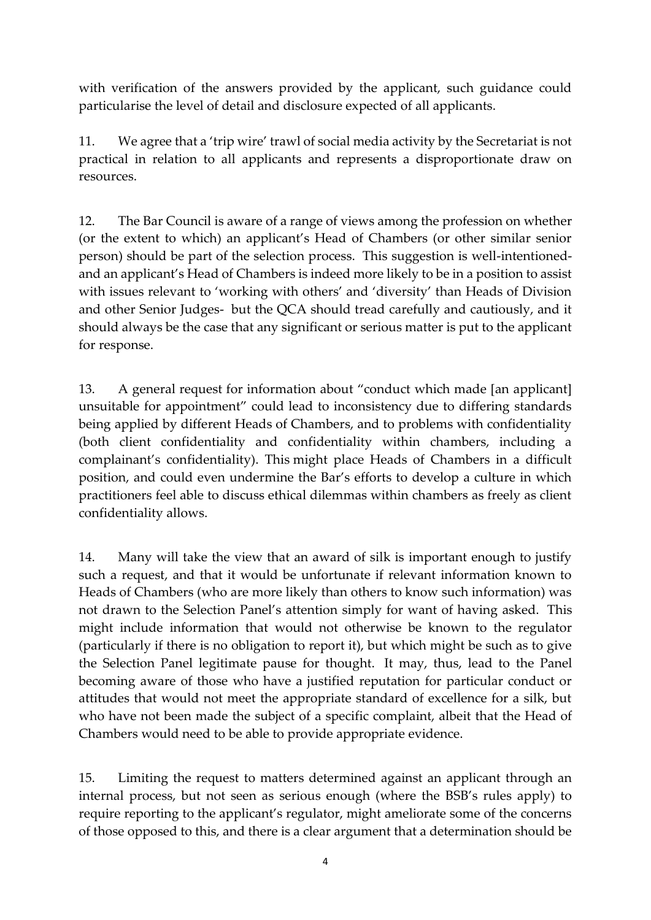with verification of the answers provided by the applicant, such guidance could particularise the level of detail and disclosure expected of all applicants.

11. We agree that a 'trip wire' trawl of social media activity by the Secretariat is not practical in relation to all applicants and represents a disproportionate draw on resources.

12. The Bar Council is aware of a range of views among the profession on whether (or the extent to which) an applicant's Head of Chambers (or other similar senior person) should be part of the selection process. This suggestion is well-intentionedand an applicant's Head of Chambers is indeed more likely to be in a position to assist with issues relevant to 'working with others' and 'diversity' than Heads of Division and other Senior Judges- but the QCA should tread carefully and cautiously, and it should always be the case that any significant or serious matter is put to the applicant for response.

13. A general request for information about "conduct which made [an applicant] unsuitable for appointment" could lead to inconsistency due to differing standards being applied by different Heads of Chambers, and to problems with confidentiality (both client confidentiality and confidentiality within chambers, including a complainant's confidentiality). This might place Heads of Chambers in a difficult position, and could even undermine the Bar's efforts to develop a culture in which practitioners feel able to discuss ethical dilemmas within chambers as freely as client confidentiality allows.

14. Many will take the view that an award of silk is important enough to justify such a request, and that it would be unfortunate if relevant information known to Heads of Chambers (who are more likely than others to know such information) was not drawn to the Selection Panel's attention simply for want of having asked. This might include information that would not otherwise be known to the regulator (particularly if there is no obligation to report it), but which might be such as to give the Selection Panel legitimate pause for thought. It may, thus, lead to the Panel becoming aware of those who have a justified reputation for particular conduct or attitudes that would not meet the appropriate standard of excellence for a silk, but who have not been made the subject of a specific complaint, albeit that the Head of Chambers would need to be able to provide appropriate evidence.

15. Limiting the request to matters determined against an applicant through an internal process, but not seen as serious enough (where the BSB's rules apply) to require reporting to the applicant's regulator, might ameliorate some of the concerns of those opposed to this, and there is a clear argument that a determination should be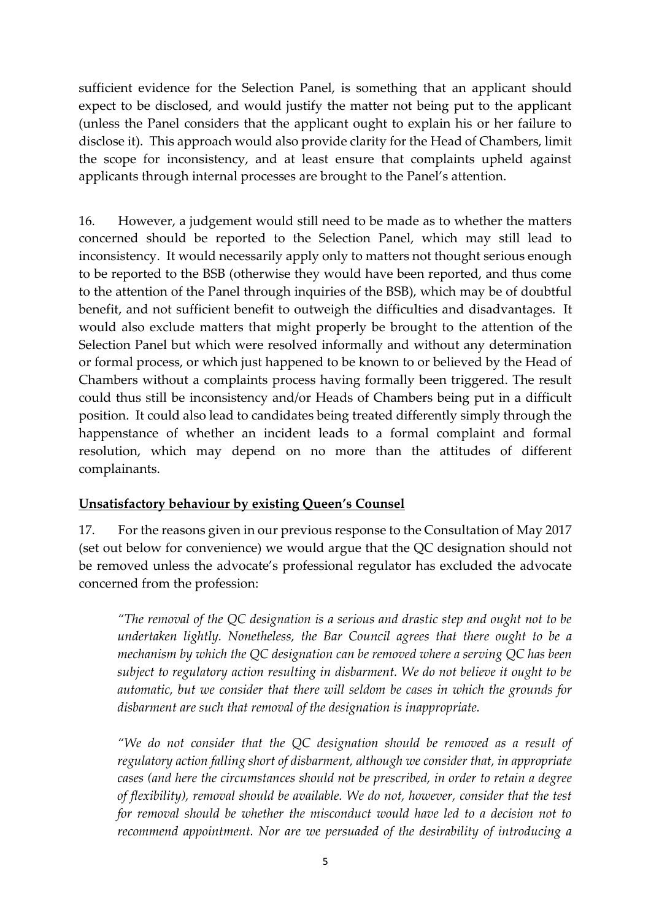sufficient evidence for the Selection Panel, is something that an applicant should expect to be disclosed, and would justify the matter not being put to the applicant (unless the Panel considers that the applicant ought to explain his or her failure to disclose it). This approach would also provide clarity for the Head of Chambers, limit the scope for inconsistency, and at least ensure that complaints upheld against applicants through internal processes are brought to the Panel's attention.

16. However, a judgement would still need to be made as to whether the matters concerned should be reported to the Selection Panel, which may still lead to inconsistency. It would necessarily apply only to matters not thought serious enough to be reported to the BSB (otherwise they would have been reported, and thus come to the attention of the Panel through inquiries of the BSB), which may be of doubtful benefit, and not sufficient benefit to outweigh the difficulties and disadvantages. It would also exclude matters that might properly be brought to the attention of the Selection Panel but which were resolved informally and without any determination or formal process, or which just happened to be known to or believed by the Head of Chambers without a complaints process having formally been triggered. The result could thus still be inconsistency and/or Heads of Chambers being put in a difficult position. It could also lead to candidates being treated differently simply through the happenstance of whether an incident leads to a formal complaint and formal resolution, which may depend on no more than the attitudes of different complainants.

### **Unsatisfactory behaviour by existing Queen's Counsel**

17. For the reasons given in our previous response to the Consultation of May 2017 (set out below for convenience) we would argue that the QC designation should not be removed unless the advocate's professional regulator has excluded the advocate concerned from the profession:

*"The removal of the QC designation is a serious and drastic step and ought not to be undertaken lightly. Nonetheless, the Bar Council agrees that there ought to be a mechanism by which the QC designation can be removed where a serving QC has been subject to regulatory action resulting in disbarment. We do not believe it ought to be automatic, but we consider that there will seldom be cases in which the grounds for disbarment are such that removal of the designation is inappropriate.* 

*"We do not consider that the QC designation should be removed as a result of regulatory action falling short of disbarment, although we consider that, in appropriate cases (and here the circumstances should not be prescribed, in order to retain a degree of flexibility), removal should be available. We do not, however, consider that the test for removal should be whether the misconduct would have led to a decision not to recommend appointment. Nor are we persuaded of the desirability of introducing a*